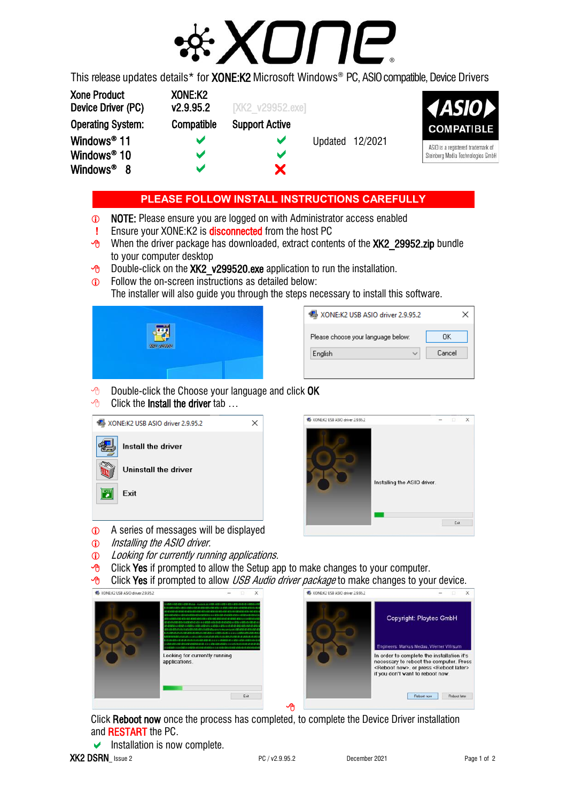

This release updates details\* for **XONE:K2** Microsoft Windows® PC, ASIO compatible, Device Drivers

| <b>Xone Product</b><br>Device Driver (PC) | XONE:K2<br>v2.9.95.2 | <b>IXK2</b> v29952.exel |         |         | <b>AASIOP</b>                     |
|-------------------------------------------|----------------------|-------------------------|---------|---------|-----------------------------------|
| <b>Operating System:</b>                  | Compatible           | <b>Support Active</b>   |         |         | <b>COMPATIBLE</b>                 |
| Windows <sup>®</sup> 11                   |                      | v                       | Updated | 12/2021 | ASIO is a registered trademark of |
| Windows <sup>®</sup> 10                   |                      | M                       |         |         | Steinberg Media Technologies Gmbl |
| Windows <sup>®</sup> 8                    |                      | X.                      |         |         |                                   |

## **PLEASE FOLLOW INSTALL INSTRUCTIONS CAREFULLY**

- NOTE: Please ensure you are logged on with Administrator access enabled
- **!** Ensure your XONE:K2 is disconnected from the host PC
- $\sqrt{6}$  When the driver package has downloaded, extract contents of the XK2 29952.zip bundle to your computer desktop
- $\sqrt{6}$  Double-click on the XK2 v299520.exe application to run the installation.
- **C** Follow the on-screen instructions as detailed below:
	- The installer will also guide you through the steps necessary to install this software.

| m                    |  |
|----------------------|--|
| <b>Mike weighter</b> |  |
|                      |  |
|                      |  |

| XONE:K2 USB ASIO driver 2.9.95.2   |        |  |  |
|------------------------------------|--------|--|--|
| Please choose your language below: | OΚ     |  |  |
| English                            | Cancel |  |  |
|                                    |        |  |  |

- $\Theta$  Double-click the Choose your language and click OK
- $\Theta$  Click the **Install the driver** tab ...

|    | 图 XONE:K2 USB ASIO driver 2.9.95.2 |  |
|----|------------------------------------|--|
|    | Install the driver                 |  |
|    | Uninstall the driver               |  |
| Fÿ | <b>Fxit</b>                        |  |
|    |                                    |  |



- A series of messages will be displayed
- **1** Installing the ASIO driver.
- **C** Looking for currently running applications.
- $\overline{\mathcal{P}}$  Click Yes if prompted to allow the Setup app to make changes to your computer.
- $\Theta$  Click Yes if prompted to allow *USB Audio driver package* to make changes to your device.





Click Reboot now once the process has completed, to complete the Device Driver installation and RESTART the PC.

Å

 $\blacktriangleright$  Installation is now complete.